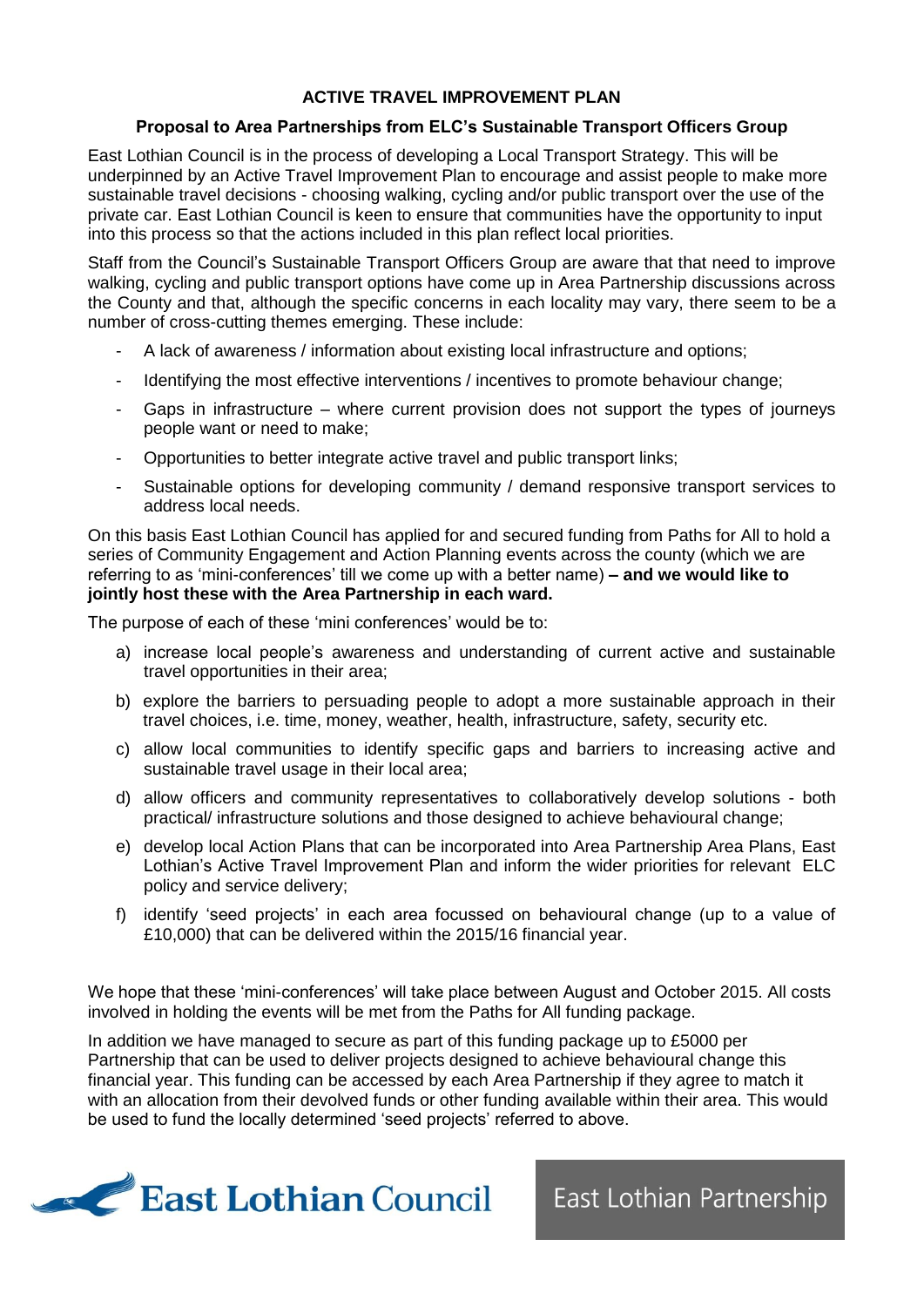## **ACTIVE TRAVEL IMPROVEMENT PLAN**

## **Proposal to Area Partnerships from ELC's Sustainable Transport Officers Group**

East Lothian Council is in the process of developing a Local Transport Strategy. This will be underpinned by an Active Travel Improvement Plan to encourage and assist people to make more sustainable travel decisions - choosing walking, cycling and/or public transport over the use of the private car. East Lothian Council is keen to ensure that communities have the opportunity to input into this process so that the actions included in this plan reflect local priorities.

Staff from the Council's Sustainable Transport Officers Group are aware that that need to improve walking, cycling and public transport options have come up in Area Partnership discussions across the County and that, although the specific concerns in each locality may vary, there seem to be a number of cross-cutting themes emerging. These include:

- A lack of awareness / information about existing local infrastructure and options;
- Identifying the most effective interventions / incentives to promote behaviour change;
- Gaps in infrastructure  $-$  where current provision does not support the types of journeys people want or need to make;
- Opportunities to better integrate active travel and public transport links;
- Sustainable options for developing community / demand responsive transport services to address local needs.

On this basis East Lothian Council has applied for and secured funding from Paths for All to hold a series of Community Engagement and Action Planning events across the county (which we are referring to as 'mini-conferences' till we come up with a better name) **– and we would like to jointly host these with the Area Partnership in each ward.**

The purpose of each of these 'mini conferences' would be to:

- a) increase local people's awareness and understanding of current active and sustainable travel opportunities in their area;
- b) explore the barriers to persuading people to adopt a more sustainable approach in their travel choices, i.e. time, money, weather, health, infrastructure, safety, security etc.
- c) allow local communities to identify specific gaps and barriers to increasing active and sustainable travel usage in their local area;
- d) allow officers and community representatives to collaboratively develop solutions both practical/ infrastructure solutions and those designed to achieve behavioural change;
- e) develop local Action Plans that can be incorporated into Area Partnership Area Plans, East Lothian's Active Travel Improvement Plan and inform the wider priorities for relevant ELC policy and service delivery;
- f) identify 'seed projects' in each area focussed on behavioural change (up to a value of £10,000) that can be delivered within the 2015/16 financial year.

We hope that these 'mini-conferences' will take place between August and October 2015. All costs involved in holding the events will be met from the Paths for All funding package.

In addition we have managed to secure as part of this funding package up to £5000 per Partnership that can be used to deliver projects designed to achieve behavioural change this financial year. This funding can be accessed by each Area Partnership if they agree to match it with an allocation from their devolved funds or other funding available within their area. This would be used to fund the locally determined 'seed projects' referred to above.



East Lothian Partnership